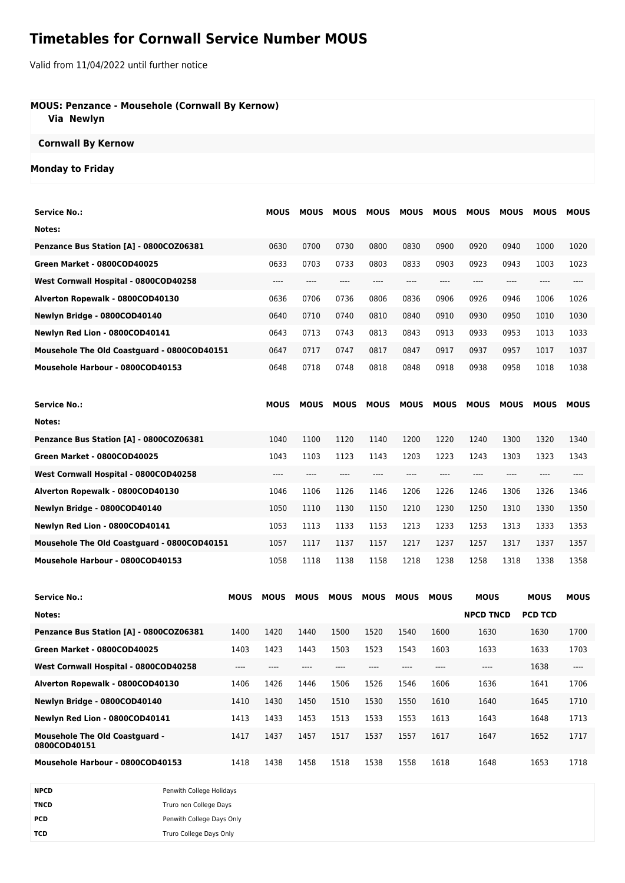# **Timetables for Cornwall Service Number MOUS**

Valid from 11/04/2022 until further notice

### **MOUS: Penzance - Mousehole (Cornwall By Kernow)**

 **Via Newlyn**

### **Cornwall By Kernow**

#### **Monday to Friday**

| <b>Service No.:</b>                         | <b>MOUS</b> | <b>MOUS</b> | <b>MOUS</b> | <b>MOUS</b> | <b>MOUS</b> | <b>MOUS</b> | <b>MOUS</b> | <b>MOUS</b> | <b>MOUS</b> | <b>MOUS</b> |
|---------------------------------------------|-------------|-------------|-------------|-------------|-------------|-------------|-------------|-------------|-------------|-------------|
| Notes:                                      |             |             |             |             |             |             |             |             |             |             |
| Penzance Bus Station [A] - 0800COZ06381     | 0630        | 0700        | 0730        | 0800        | 0830        | 0900        | 0920        | 0940        | 1000        | 1020        |
| Green Market - 0800COD40025                 | 0633        | 0703        | 0733        | 0803        | 0833        | 0903        | 0923        | 0943        | 1003        | 1023        |
| West Cornwall Hospital - 0800COD40258       | $--- -$     | ----        | ----        | ----        | ----        | ----        | $---$       | $---$       | $---$       | ----        |
| Alverton Ropewalk - 0800COD40130            | 0636        | 0706        | 0736        | 0806        | 0836        | 0906        | 0926        | 0946        | 1006        | 1026        |
| Newlyn Bridge - 0800COD40140                | 0640        | 0710        | 0740        | 0810        | 0840        | 0910        | 0930        | 0950        | 1010        | 1030        |
| Newlyn Red Lion - 0800COD40141              | 0643        | 0713        | 0743        | 0813        | 0843        | 0913        | 0933        | 0953        | 1013        | 1033        |
| Mousehole The Old Coastguard - 0800COD40151 | 0647        | 0717        | 0747        | 0817        | 0847        | 0917        | 0937        | 0957        | 1017        | 1037        |
| Mousehole Harbour - 0800COD40153            | 0648        | 0718        | 0748        | 0818        | 0848        | 0918        | 0938        | 0958        | 1018        | 1038        |
|                                             |             |             |             |             |             |             |             |             |             |             |
| <b>Service No.:</b>                         | <b>MOUS</b> | <b>MOUS</b> | <b>MOUS</b> | <b>MOUS</b> | <b>MOUS</b> | <b>MOUS</b> | <b>MOUS</b> | <b>MOUS</b> | <b>MOUS</b> | <b>MOUS</b> |
| Notes:                                      |             |             |             |             |             |             |             |             |             |             |
| Penzance Bus Station [A] - 0800COZ06381     | 1040        | 1100        | 1120        | 1140        | 1200        | 1220        | 1240        | 1300        | 1320        | 1340        |
| Green Market - 0800COD40025                 | 1043        | 1103        | 1123        | 1143        | 1203        | 1223        | 1243        | 1303        | 1323        | 1343        |
| West Cornwall Hospital - 0800COD40258       | $---$       | ----        | ----        | ----        | ----        | ----        | $---$       | $---$       | ----        | ----        |
| Alverton Ropewalk - 0800COD40130            | 1046        | 1106        | 1126        | 1146        | 1206        | 1226        | 1246        | 1306        | 1326        | 1346        |
| Newlyn Bridge - 0800COD40140                | 1050        | 1110        | 1130        | 1150        | 1210        | 1230        | 1250        | 1310        | 1330        | 1350        |
| Newlyn Red Lion - 0800COD40141              | 1053        | 1113        | 1133        | 1153        | 1213        | 1233        | 1253        | 1313        | 1333        | 1353        |
| Mousehole The Old Coastguard - 0800COD40151 |             |             |             |             |             |             |             |             |             |             |
|                                             | 1057        | 1117        | 1137        | 1157        | 1217        | 1237        | 1257        | 1317        | 1337        | 1357        |

| Service No.:                                          | <b>MOUS</b> | <b>MOUS</b> | <b>MOUS</b> | <b>MOUS</b> | <b>MOUS</b> | <b>MOUS</b> | <b>MOUS</b> | <b>MOUS</b>      | <b>MOUS</b>    | <b>MOUS</b> |
|-------------------------------------------------------|-------------|-------------|-------------|-------------|-------------|-------------|-------------|------------------|----------------|-------------|
| Notes:                                                |             |             |             |             |             |             |             | <b>NPCD TNCD</b> | <b>PCD TCD</b> |             |
| Penzance Bus Station [A] - 0800COZ06381               | 1400        | 1420        | 1440        | 1500        | 1520        | 1540        | 1600        | 1630             | 1630           | 1700        |
| Green Market - 0800COD40025                           | 1403        | 1423        | 1443        | 1503        | 1523        | 1543        | 1603        | 1633             | 1633           | 1703        |
| West Cornwall Hospital - 0800COD40258                 | ----        | ----        |             |             |             |             | ----        | ----             | 1638           | $---$       |
| Alverton Ropewalk - 0800COD40130                      | 1406        | 1426        | 1446        | 1506        | 1526        | 1546        | 1606        | 1636             | 1641           | 1706        |
| Newlyn Bridge - 0800COD40140                          | 1410        | 1430        | 1450        | 1510        | 1530        | 1550        | 1610        | 1640             | 1645           | 1710        |
| Newlyn Red Lion - 0800COD40141                        | 1413        | 1433        | 1453        | 1513        | 1533        | 1553        | 1613        | 1643             | 1648           | 1713        |
| <b>Mousehole The Old Coastquard -</b><br>0800COD40151 | 1417        | 1437        | 1457        | 1517        | 1537        | 1557        | 1617        | 1647             | 1652           | 1717        |
| Mousehole Harbour - 0800COD40153                      | 1418        | 1438        | 1458        | 1518        | 1538        | 1558        | 1618        | 1648             | 1653           | 1718        |

| <b>NPCD</b> | Penwith College Holidays  |
|-------------|---------------------------|
| TNCD        | Truro non College Days    |
| PCD         | Penwith College Days Only |
| TCD         | Truro College Days Only   |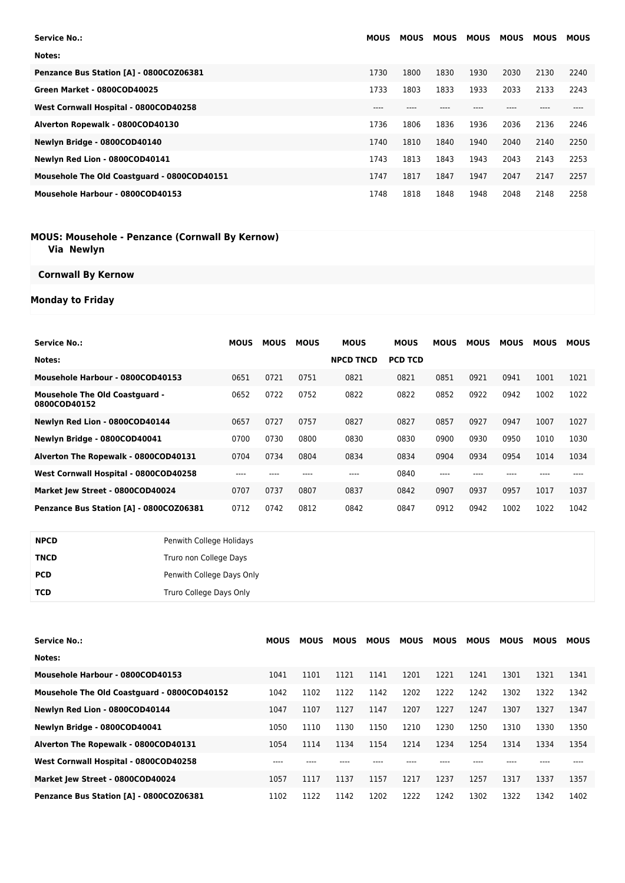| <b>Service No.:</b>                         | <b>MOUS</b> | <b>MOUS</b> | <b>MOUS</b> | <b>MOUS</b> | <b>MOUS</b> | <b>MOUS</b> | <b>MOUS</b> |
|---------------------------------------------|-------------|-------------|-------------|-------------|-------------|-------------|-------------|
| Notes:                                      |             |             |             |             |             |             |             |
| Penzance Bus Station [A] - 0800COZ06381     | 1730        | 1800        | 1830        | 1930        | 2030        | 2130        | 2240        |
| Green Market - 0800COD40025                 | 1733        | 1803        | 1833        | 1933        | 2033        | 2133        | 2243        |
| West Cornwall Hospital - 0800COD40258       | ----        |             |             |             |             |             |             |
| Alverton Ropewalk - 0800COD40130            | 1736        | 1806        | 1836        | 1936        | 2036        | 2136        | 2246        |
| Newlyn Bridge - 0800COD40140                | 1740        | 1810        | 1840        | 1940        | 2040        | 2140        | 2250        |
| Newlyn Red Lion - 0800COD40141              | 1743        | 1813        | 1843        | 1943        | 2043        | 2143        | 2253        |
| Mousehole The Old Coastguard - 0800COD40151 | 1747        | 1817        | 1847        | 1947        | 2047        | 2147        | 2257        |
| Mousehole Harbour - 0800COD40153            | 1748        | 1818        | 1848        | 1948        | 2048        | 2148        | 2258        |

#### **MOUS: Mousehole - Penzance (Cornwall By Kernow) Via Newlyn**

## **Cornwall By Kernow**

## **Monday to Friday**

| <b>Service No.:</b>                                   | MOUS | <b>MOUS</b> | <b>MOUS</b> | <b>MOUS</b>      | <b>MOUS</b>    | <b>MOUS</b> | <b>MOUS</b> | <b>MOUS</b> | MOUS | <b>MOUS</b> |
|-------------------------------------------------------|------|-------------|-------------|------------------|----------------|-------------|-------------|-------------|------|-------------|
| Notes:                                                |      |             |             | <b>NPCD TNCD</b> | <b>PCD TCD</b> |             |             |             |      |             |
| Mousehole Harbour - 0800COD40153                      | 0651 | 0721        | 0751        | 0821             | 0821           | 0851        | 0921        | 0941        | 1001 | 1021        |
| <b>Mousehole The Old Coastguard -</b><br>0800COD40152 | 0652 | 0722        | 0752        | 0822             | 0822           | 0852        | 0922        | 0942        | 1002 | 1022        |
| Newlyn Red Lion - 0800COD40144                        | 0657 | 0727        | 0757        | 0827             | 0827           | 0857        | 0927        | 0947        | 1007 | 1027        |
| Newlyn Bridge - 0800COD40041                          | 0700 | 0730        | 0800        | 0830             | 0830           | 0900        | 0930        | 0950        | 1010 | 1030        |
| Alverton The Ropewalk - 0800COD40131                  | 0704 | 0734        | 0804        | 0834             | 0834           | 0904        | 0934        | 0954        | 1014 | 1034        |
| West Cornwall Hospital - 0800COD40258                 | ---- |             |             | ----             | 0840           | ----        |             |             |      |             |
| Market Jew Street - 0800COD40024                      | 0707 | 0737        | 0807        | 0837             | 0842           | 0907        | 0937        | 0957        | 1017 | 1037        |
| Penzance Bus Station [A] - 0800COZ06381               | 0712 | 0742        | 0812        | 0842             | 0847           | 0912        | 0942        | 1002        | 1022 | 1042        |

| <b>NPCD</b> | Penwith College Holidays  |
|-------------|---------------------------|
| <b>TNCD</b> | Truro non College Days    |
| <b>PCD</b>  | Penwith College Days Only |
| TCD         | Truro College Days Only   |

| <b>Service No.:</b>                         | <b>MOUS</b> | <b>MOUS</b> | <b>MOUS</b> | <b>MOUS</b> | <b>MOUS</b> | <b>MOUS</b> | <b>MOUS</b> | <b>MOUS</b> | MOUS | <b>MOUS</b> |
|---------------------------------------------|-------------|-------------|-------------|-------------|-------------|-------------|-------------|-------------|------|-------------|
| Notes:                                      |             |             |             |             |             |             |             |             |      |             |
| Mousehole Harbour - 0800COD40153            | 1041        | 1101        | 1121        | 1141        | 1201        | 1221        | 1241        | 1301        | 1321 | 1341        |
| Mousehole The Old Coastguard - 0800COD40152 | 1042        | 1102        | 1122        | 1142        | 1202        | 1222        | 1242        | 1302        | 1322 | 1342        |
| Newlyn Red Lion - 0800COD40144              | 1047        | 1107        | 1127        | 1147        | 1207        | 1227        | 1247        | 1307        | 1327 | 1347        |
| Newlyn Bridge - 0800COD40041                | 1050        | 1110        | 1130        | 1150        | 1210        | 1230        | 1250        | 1310        | 1330 | 1350        |
| Alverton The Ropewalk - 0800COD40131        | 1054        | 1114        | 1134        | 1154        | 1214        | 1234        | 1254        | 1314        | 1334 | 1354        |
| West Cornwall Hospital - 0800COD40258       |             |             |             |             |             |             |             |             |      |             |
| Market Jew Street - 0800COD40024            | 1057        | 1117        | 1137        | 1157        | 1217        | 1237        | 1257        | 1317        | 1337 | 1357        |
| Penzance Bus Station [A] - 0800COZ06381     | 1102        | 1122        | 1142        | 1202        | 1222        | 1242        | 1302        | 1322        | 1342 | 1402        |